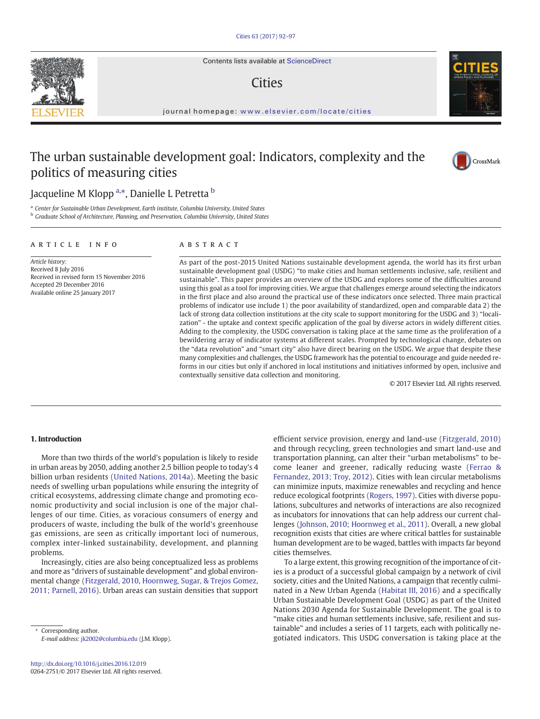Contents lists available at [ScienceDirect](http://www.sciencedirect.com/science/journal/)

# **Cities**

journal homepage: <www.elsevier.com/locate/cities>

# The urban sustainable development goal: Indicators, complexity and the politics of measuring cities

# Jacqueline M Klopp <sup>[a,](#page-0-0)</sup>\*, Danielle L Petretta <sup>[b](#page-0-0)</sup>

<sup>a</sup> Center for Sustainable Urban Development, Earth institute, Columbia University, United States <sup>b</sup> Graduate School of Architecture, Planning, and Preservation, Columbia University, United States

# article info abstract

Article history: Received 8 July 2016 Received in revised form 15 November 2016 Accepted 29 December 2016 Available online 25 January 2017

As part of the post-2015 United Nations sustainable development agenda, the world has its first urban sustainable development goal (USDG) "to make cities and human settlements inclusive, safe, resilient and sustainable". This paper provides an overview of the USDG and explores some of the difficulties around using this goal as a tool for improving cities. We argue that challenges emerge around selecting the indicators in the first place and also around the practical use of these indicators once selected. Three main practical problems of indicator use include 1) the poor availability of standardized, open and comparable data 2) the lack of strong data collection institutions at the city scale to support monitoring for the USDG and 3) "localization" - the uptake and context specific application of the goal by diverse actors in widely different cities. Adding to the complexity, the USDG conversation is taking place at the same time as the proliferation of a bewildering array of indicator systems at different scales. Prompted by technological change, debates on the "data revolution" and "smart city" also have direct bearing on the USDG. We argue that despite these many complexities and challenges, the USDG framework has the potential to encourage and guide needed reforms in our cities but only if anchored in local institutions and initiatives informed by open, inclusive and contextually sensitive data collection and monitoring.

© 2017 Elsevier Ltd. All rights reserved.

# 1. Introduction

More than two thirds of the world's population is likely to reside in urban areas by 2050, adding another 2.5 billion people to today's 4 billion urban residents ([United Nations, 2014a\)](#page-5-0). Meeting the basic needs of swelling urban populations while ensuring the integrity of critical ecosystems, addressing climate change and promoting economic productivity and social inclusion is one of the major challenges of our time. Cities, as voracious consumers of energy and producers of waste, including the bulk of the world's greenhouse gas emissions, are seen as critically important loci of numerous, complex inter-linked sustainability, development, and planning problems.

Increasingly, cities are also being conceptualized less as problems and more as "drivers of sustainable development" and global environmental change ([Fitzgerald, 2010, Hoornweg, Sugar, & Trejos Gomez,](#page-5-0) [2011; Parnell, 2016\)](#page-5-0). Urban areas can sustain densities that support

<span id="page-0-0"></span>Corresponding author. E-mail address: [jk2002@columbia.edu](mailto:jk2002@columbia.edu) (J.M. Klopp). and through recycling, green technologies and smart land-use and transportation planning, can alter their "urban metabolisms" to become leaner and greener, radically reducing waste ([Ferrao &](#page-5-0) [Fernandez, 2013; Troy, 2012\)](#page-5-0). Cities with lean circular metabolisms can minimize inputs, maximize renewables and recycling and hence reduce ecological footprints ([Rogers, 1997\)](#page-5-0). Cities with diverse populations, subcultures and networks of interactions are also recognized as incubators for innovations that can help address our current challenges ([Johnson, 2010; Hoornweg et al., 2011](#page-5-0)). Overall, a new global recognition exists that cities are where critical battles for sustainable human development are to be waged, battles with impacts far beyond cities themselves.

efficient service provision, energy and land-use [\(Fitzgerald, 2010](#page-5-0))

To a large extent, this growing recognition of the importance of cities is a product of a successful global campaign by a network of civil society, cities and the United Nations, a campaign that recently culminated in a New Urban Agenda ([Habitat III, 2016](#page-5-0)) and a specifically Urban Sustainable Development Goal (USDG) as part of the United Nations 2030 Agenda for Sustainable Development. The goal is to "make cities and human settlements inclusive, safe, resilient and sustainable" and includes a series of 11 targets, each with politically negotiated indicators. This USDG conversation is taking place at the





CrossMark

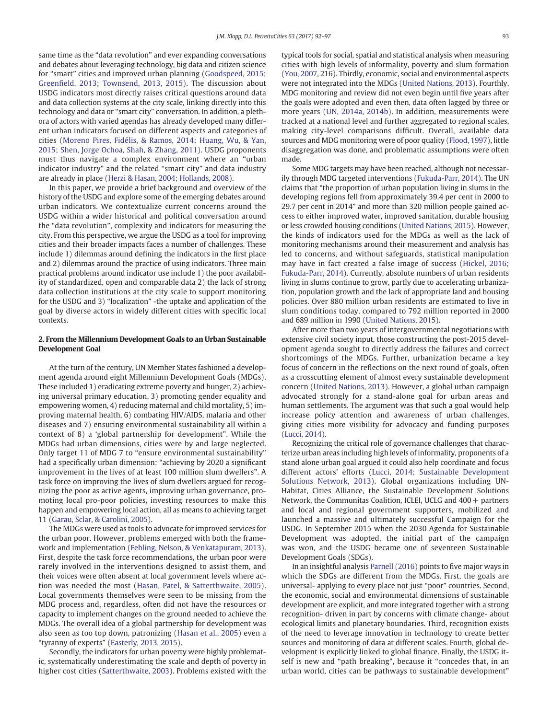same time as the "data revolution" and ever expanding conversations and debates about leveraging technology, big data and citizen science for "smart" cities and improved urban planning [\(Goodspeed, 2015;](#page-5-0) Greenfi[eld, 2013; Townsend, 2013, 2015\)](#page-5-0). The discussion about USDG indicators most directly raises critical questions around data and data collection systems at the city scale, linking directly into this technology and data or "smart city" conversation. In addition, a plethora of actors with varied agendas has already developed many different urban indicators focused on different aspects and categories of cities [\(Moreno Pires, Fidélis, & Ramos, 2014; Huang, Wu, & Yan,](#page-5-0) [2015; Shen, Jorge Ochoa, Shah, & Zhang, 2011\)](#page-5-0). USDG proponents must thus navigate a complex environment where an "urban indicator industry" and the related "smart city" and data industry are already in place [\(Herzi & Hasan, 2004; Hollands, 2008\)](#page-5-0).

In this paper, we provide a brief background and overview of the history of the USDG and explore some of the emerging debates around urban indicators. We contextualize current concerns around the USDG within a wider historical and political conversation around the "data revolution", complexity and indicators for measuring the city. From this perspective, we argue the USDG as a tool for improving cities and their broader impacts faces a number of challenges. These include 1) dilemmas around defining the indicators in the first place and 2) dilemmas around the practice of using indicators. Three main practical problems around indicator use include 1) the poor availability of standardized, open and comparable data 2) the lack of strong data collection institutions at the city scale to support monitoring for the USDG and 3) "localization" -the uptake and application of the goal by diverse actors in widely different cities with specific local contexts.

# 2. From the Millennium Development Goals to an Urban Sustainable Development Goal

At the turn of the century, UN Member States fashioned a development agenda around eight Millennium Development Goals (MDGs). These included 1) eradicating extreme poverty and hunger, 2) achieving universal primary education, 3) promoting gender equality and empowering women, 4) reducing maternal and child mortality, 5) improving maternal health, 6) combating HIV/AIDS, malaria and other diseases and 7) ensuring environmental sustainability all within a context of 8) a 'global partnership for development". While the MDGs had urban dimensions, cities were by and large neglected. Only target 11 of MDG 7 to "ensure environmental sustainability" had a specifically urban dimension: "achieving by 2020 a significant improvement in the lives of at least 100 million slum dwellers". A task force on improving the lives of slum dwellers argued for recognizing the poor as active agents, improving urban governance, promoting local pro-poor policies, investing resources to make this happen and empowering local action, all as means to achieving target 11 [\(Garau, Sclar, & Carolini, 2005\)](#page-5-0).

The MDGs were used as tools to advocate for improved services for the urban poor. However, problems emerged with both the framework and implementation [\(Fehling, Nelson, & Venkatapuram, 2013](#page-5-0)). First, despite the task force recommendations, the urban poor were rarely involved in the interventions designed to assist them, and their voices were often absent at local government levels where action was needed the most [\(Hasan, Patel, & Satterthwaite, 2005](#page-5-0)). Local governments themselves were seen to be missing from the MDG process and, regardless, often did not have the resources or capacity to implement changes on the ground needed to achieve the MDGs. The overall idea of a global partnership for development was also seen as too top down, patronizing ([Hasan et al., 2005\)](#page-5-0) even a "tyranny of experts" [\(Easterly, 2013, 2015\)](#page-5-0).

Secondly, the indicators for urban poverty were highly problematic, systematically underestimating the scale and depth of poverty in higher cost cities ([Satterthwaite, 2003\)](#page-5-0). Problems existed with the typical tools for social, spatial and statistical analysis when measuring cities with high levels of informality, poverty and slum formation [\(You, 2007,](#page-5-0) 216). Thirdly, economic, social and environmental aspects were not integrated into the MDGs [\(United Nations, 2013](#page-5-0)). Fourthly, MDG monitoring and review did not even begin until five years after the goals were adopted and even then, data often lagged by three or more years ([UN, 2014a, 2014b](#page-5-0)). In addition, measurements were tracked at a national level and further aggregated to regional scales, making city-level comparisons difficult. Overall, available data sources and MDG monitoring were of poor quality ([Flood, 1997\)](#page-5-0), little disaggregation was done, and problematic assumptions were often made.

Some MDG targets may have been reached, although not necessarily through MDG targeted interventions [\(Fukuda-Parr, 2014](#page-5-0)). The UN claims that "the proportion of urban population living in slums in the developing regions fell from approximately 39.4 per cent in 2000 to 29.7 per cent in 2014" and more than 320 million people gained access to either improved water, improved sanitation, durable housing or less crowded housing conditions [\(United Nations, 2015\)](#page-5-0). However, the kinds of indicators used for the MDGs as well as the lack of monitoring mechanisms around their measurement and analysis has led to concerns, and without safeguards, statistical manipulation may have in fact created a false image of success ([Hickel, 2016;](#page-5-0) [Fukuda-Parr, 2014\)](#page-5-0). Currently, absolute numbers of urban residents living in slums continue to grow, partly due to accelerating urbanization, population growth and the lack of appropriate land and housing policies. Over 880 million urban residents are estimated to live in slum conditions today, compared to 792 million reported in 2000 and 689 million in 1990 ([United Nations, 2015\)](#page-5-0).

After more than two years of intergovernmental negotiations with extensive civil society input, those constructing the post-2015 development agenda sought to directly address the failures and correct shortcomings of the MDGs. Further, urbanization became a key focus of concern in the reflections on the next round of goals, often as a crosscutting element of almost every sustainable development concern ([United Nations, 2013\)](#page-5-0). However, a global urban campaign advocated strongly for a stand-alone goal for urban areas and human settlements. The argument was that such a goal would help increase policy attention and awareness of urban challenges, giving cities more visibility for advocacy and funding purposes [\(Lucci,](#page-5-0) 2014).

Recognizing the critical role of governance challenges that characterize urban areas including high levels of informality, proponents of a stand alone urban goal argued it could also help coordinate and focus different actors' efforts ([Lucci, 2014; Sustainable Development](#page-5-0) [Solutions Network, 2013\)](#page-5-0). Global organizations including UN-Habitat, Cities Alliance, the Sustainable Development Solutions Network, the Communitas Coalition, ICLEI, UCLG and  $400 +$  partners and local and regional government supporters, mobilized and launched a massive and ultimately successful Campaign for the USDG. In September 2015 when the 2030 Agenda for Sustainable Development was adopted, the initial part of the campaign was won, and the USDG became one of seventeen Sustainable Development Goals (SDGs).

In an insightful analysis [Parnell \(2016\)](#page-5-0) points to five major ways in which the SDGs are different from the MDGs. First, the goals are universal- applying to every place not just "poor" countries. Second, the economic, social and environmental dimensions of sustainable development are explicit, and more integrated together with a strong recognition- driven in part by concerns with climate change- about ecological limits and planetary boundaries. Third, recognition exists of the need to leverage innovation in technology to create better sources and monitoring of data at different scales. Fourth, global development is explicitly linked to global finance. Finally, the USDG itself is new and "path breaking", because it "concedes that, in an urban world, cities can be pathways to sustainable development"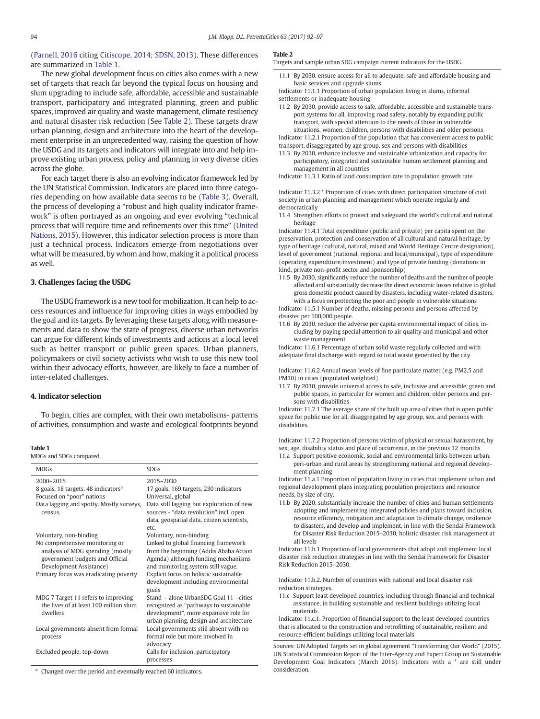[\(Parnell, 2016](#page-5-0) citing [Citiscope, 2014; SDSN, 2013\)](#page-5-0). These differences are summarized in [Table 1](#page-2-0).

The new global development focus on cities also comes with a new set of targets that reach far beyond the typical focus on housing and slum upgrading to include safe, affordable, accessible and sustainable transport, participatory and integrated planning, green and public spaces, improved air quality and waste management, climate resiliency and natural disaster risk reduction (See [Table 2](#page-2-0)). These targets draw urban planning, design and architecture into the heart of the development enterprise in an unprecedented way, raising the question of how the USDG and its targets and indicators will integrate into and help improve existing urban process, policy and planning in very diverse cities across the globe.

For each target there is also an evolving indicator framework led by the UN Statistical Commission. Indicators are placed into three categories depending on how available data seems to be ([Table 3](#page-3-0)). Overall, the process of developing a "robust and high quality indicator framework" is often portrayed as an ongoing and ever evolving "technical process that will require time and refinements over this time" ([United](#page-5-0) [Nations, 2015](#page-5-0)). However, this indicator selection process is more than just a technical process. Indicators emerge from negotiations over what will be measured, by whom and how, making it a political process as well.

# 3. Challenges facing the USDG

The USDG framework is a new tool for mobilization. It can help to access resources and influence for improving cities in ways embodied by the goal and its targets. By leveraging these targets along with measurements and data to show the state of progress, diverse urban networks can argue for different kinds of investments and actions at a local level such as better transport or public green spaces. Urban planners, policymakers or civil society activists who wish to use this new tool within their advocacy efforts, however, are likely to face a number of inter-related challenges.

# 4. Indicator selection

To begin, cities are complex, with their own metabolisms- patterns of activities, consumption and waste and ecological footprints beyond

# Table 1

MDGs and SDGs compared.

| <b>MDGs</b>                                                                                                                                      | <b>SDGs</b>                                                                                                                                                                                                  |
|--------------------------------------------------------------------------------------------------------------------------------------------------|--------------------------------------------------------------------------------------------------------------------------------------------------------------------------------------------------------------|
| 2000-2015<br>8 goals, 18 targets, 48 indicators <sup>a</sup><br>Focused on "poor" nations<br>Data lagging and spotty. Mostly surveys,<br>census. | 2015-2030<br>17 goals, 169 targets, 230 indicators<br>Universal, global<br>Data still lagging but exploration of new<br>sources - "data revolution" incl. open<br>data, geospatial data, citizen scientists, |
| Voluntary, non-binding<br>No comprehensive monitoring or                                                                                         | etc.<br>Voluntary, non-binding<br>Linked to global financing framework                                                                                                                                       |
| analysis of MDG spending (mostly<br>government budgets and Official<br>Development Assistance)                                                   | from the beginning (Addis Ababa Action<br>Agenda) although funding mechanisms<br>and monitoring system still vague.                                                                                          |
| Primary focus was eradicating poverty                                                                                                            | Explicit focus on holistic sustainable<br>development including environmental<br>goals                                                                                                                       |
| MDG 7 Target 11 refers to improving<br>the lives of at least 100 million slum<br>dwellers                                                        | Stand - alone UrbanSDG Goal 11 -cities<br>recognized as "pathways to sustainable<br>development", more expansive role for<br>urban planning, design and architecture                                         |
| Local governments absent from formal<br>process                                                                                                  | Local governments still absent with no<br>formal role but more involved in<br>advocacy                                                                                                                       |
| Excluded people, top-down                                                                                                                        | Calls for inclusion, participatory<br>processes                                                                                                                                                              |

<span id="page-2-0"></span><sup>a</sup> Changed over the period and eventually reached 60 indicators.

#### Table 2

Targets and sample urban SDG campaign current indicators for the USDG.

By 2030, ensure access for all to adequate, safe and affordable housing and basic services and upgrade slums

Indicator 11.1.1 Proportion of urban population living in slums, informal settlements or inadequate housing

11.2 By 2030, provide access to safe, affordable, accessible and sustainable transport systems for all, improving road safety, notably by expanding public transport, with special attention to the needs of those in vulnerable situations, women, children, persons with disabilities and older persons

Indicator 11.2.1 Proportion of the population that has convenient access to public transport, disaggregated by age group, sex and persons with disabilities

11.3 By 2030, enhance inclusive and sustainable urbanization and capacity for participatory, integrated and sustainable human settlement planning and management in all countries

Indicator 11.3.1 Ratio of land consumption rate to population growth rate

Indicator 11.3.2 \* Proportion of cities with direct participation structure of civil society in urban planning and management which operate regularly and democratically

11.4 Strengthen efforts to protect and safeguard the world's cultural and natural heritage

Indicator 11.4.1 Total expenditure (public and private) per capita spent on the preservation, protection and conservation of all cultural and natural heritage, by type of heritage (cultural, natural, mixed and World Heritage Centre designation), level of government (national, regional and local/municipal), type of expenditure (operating expenditure/investment) and type of private funding (donations in kind, private non-profit sector and sponsorship)

11.5 By 2030, significantly reduce the number of deaths and the number of people affected and substantially decrease the direct economic losses relative to global gross domestic product caused by disasters, including water-related disasters, with a focus on protecting the poor and people in vulnerable situations

Indicator 11.5.1 Number of deaths, missing persons and persons affected by disaster per 100,000 people.

11.6 By 2030, reduce the adverse per capita environmental impact of cities, including by paying special attention to air quality and municipal and other waste management

Indicator 11.6.1 Percentage of urban solid waste regularly collected and with adequate final discharge with regard to total waste generated by the city

Indicator 11.6.2 Annual mean levels of fine particulate matter (e.g. PM2.5 and PM10) in cities (populated weighted)

11.7 By 2030, provide universal access to safe, inclusive and accessible, green and public spaces, in particular for women and children, older persons and persons with disabilities

Indicator 11.7.1 The average share of the built up area of cities that is open public space for public use for all, disaggregated by age group, sex, and persons with disabilities.

Indicator 11.7.2 Proportion of persons victim of physical or sexual harassment, by sex, age, disability status and place of occurrence, in the previous 12 months

11.a Support positive economic, social and environmental links between urban, peri-urban and rural areas by strengthening national and regional development planning

Indicator 11.a.1 Proportion of population living in cities that implement urban and regional development plans integrating population projections and resource needs, by size of city.

11.b By 2020, substantially increase the number of cities and human settlements adopting and implementing integrated policies and plans toward inclusion, resource efficiency, mitigation and adaptation to climate change, resilience to disasters, and develop and implement, in line with the Sendai Framework for Disaster Risk Reduction 2015–2030, holistic disaster risk management at all levels

Indicator 11.b.1 Proportion of local governments that adopt and implement local disaster risk reduction strategies in line with the Sendai Framework for Disaster Risk Reduction 2015–2030.

Indicator 11.b.2. Number of countries with national and local disaster risk reduction strategies.

11.c Support least developed countries, including through financial and technical assistance, in building sustainable and resilient buildings utilizing local materials

Indicator 11.c.1. Proportion of financial support to the least developed countries that is allocated to the construction and retrofitting of sustainable, resilient and resource-efficient buildings utilizing local materials

Sources: UN Adopted Targets set in global agreement "Transforming Our World" (2015). UN Statistical Commission Report of the Inter-Agency and Expert Group on Sustainable Development Goal Indicators (March 2016). Indicators with a \* are still under consideration.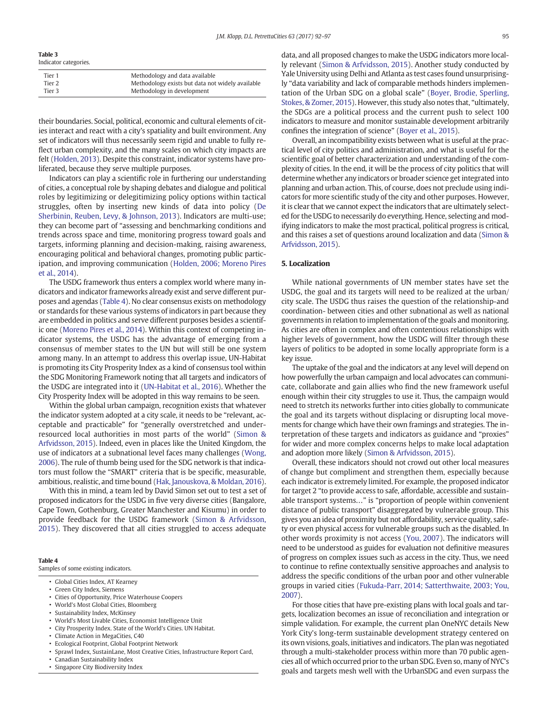# Table 3

| Indicator categories. |
|-----------------------|
|                       |

| Tier 1 | Methodology and data available                   |
|--------|--------------------------------------------------|
| Tier 2 | Methodology exists but data not widely available |
| Tier 3 | Methodology in development                       |

their boundaries. Social, political, economic and cultural elements of cities interact and react with a city's spatiality and built environment. Any set of indicators will thus necessarily seem rigid and unable to fully reflect urban complexity, and the many scales on which city impacts are felt [\(Holden, 2013](#page-5-0)). Despite this constraint, indicator systems have proliferated, because they serve multiple purposes.

Indicators can play a scientific role in furthering our understanding of cities, a conceptual role by shaping debates and dialogue and political roles by legitimizing or delegitimizing policy options within tactical struggles, often by inserting new kinds of data into policy ([De](#page-5-0) [Sherbinin, Reuben, Levy, & Johnson, 2013\)](#page-5-0). Indicators are multi-use; they can become part of "assessing and benchmarking conditions and trends across space and time, monitoring progress toward goals and targets, informing planning and decision-making, raising awareness, encouraging political and behavioral changes, promoting public participation, and improving communication [\(Holden, 2006; Moreno Pires](#page-5-0) [et al., 2014](#page-5-0)).

The USDG framework thus enters a complex world where many indicators and indicator frameworks already exist and serve different purposes and agendas [\(Table 4](#page-3-0)). No clear consensus exists on methodology or standards for these various systems of indicators in part because they are embedded in politics and serve different purposes besides a scientific one [\(Moreno Pires et al., 2014\)](#page-5-0). Within this context of competing indicator systems, the USDG has the advantage of emerging from a consensus of member states to the UN but will still be one system among many. In an attempt to address this overlap issue, UN-Habitat is promoting its City Prosperity Index as a kind of consensus tool within the SDG Monitoring Framework noting that all targets and indicators of the USDG are integrated into it ([UN-Habitat et al., 2016](#page-5-0)). Whether the City Prosperity Index will be adopted in this way remains to be seen.

Within the global urban campaign, recognition exists that whatever the indicator system adopted at a city scale, it needs to be "relevant, acceptable and practicable" for "generally overstretched and underresourced local authorities in most parts of the world" [\(Simon &](#page-5-0) [Arfvidsson, 2015](#page-5-0)). Indeed, even in places like the United Kingdom, the use of indicators at a subnational level faces many challenges ([Wong,](#page-5-0) [2006](#page-5-0)). The rule of thumb being used for the SDG network is that indicators must follow the "SMART" criteria that is be specific, measurable, ambitious, realistic, and time bound [\(Hak, Janouskova, & Moldan, 2016](#page-5-0)).

With this in mind, a team led by David Simon set out to test a set of proposed indicators for the USDG in five very diverse cities (Bangalore, Cape Town, Gothenburg, Greater Manchester and Kisumu) in order to provide feedback for the USDG framework ([Simon & Arfvidsson,](#page-5-0) [2015\)](#page-5-0). They discovered that all cities struggled to access adequate

# Table 4

Samples of some existing indicators.

- Global Cities Index, AT Kearney
- Green City Index, Siemens
- Cities of Opportunity, Price Waterhouse Coopers
- World's Most Global Cities, Bloomberg
- Sustainability Index, McKinsey
- World's Most Livable Cities, Economist Intelligence Unit
- City Prosperity Index. State of the World's Cities. UN Habitat.
- Climate Action in MegaCities, C40
- Ecological Footprint, Global Footprint Network
- Sprawl Index, SustainLane, Most Creative Cities, Infrastructure Report Card,
- Canadian Sustainability Index
- <span id="page-3-0"></span>• Singapore City Biodiversity Index

data, and all proposed changes to make the USDG indicators more locally relevant [\(Simon & Arfvidsson, 2015\)](#page-5-0). Another study conducted by Yale University using Delhi and Atlanta as test cases found unsurprisingly "data variability and lack of comparable methods hinders implementation of the Urban SDG on a global scale" ([Boyer, Brodie, Sperling,](#page-5-0) [Stokes, & Zomer, 2015\)](#page-5-0). However, this study also notes that, "ultimately, the SDGs are a political process and the current push to select 100 indicators to measure and monitor sustainable development arbitrarily confines the integration of science" ([Boyer et al., 2015\)](#page-5-0).

Overall, an incompatibility exists between what is useful at the practical level of city politics and administration, and what is useful for the scientific goal of better characterization and understanding of the complexity of cities. In the end, it will be the process of city politics that will determine whether any indicators or broader science get integrated into planning and urban action. This, of course, does not preclude using indicators for more scientific study of the city and other purposes. However, it is clear that we cannot expect the indicators that are ultimately selected for the USDG to necessarily do everything. Hence, selecting and modifying indicators to make the most practical, political progress is critical, and this raises a set of questions around localization and data ([Simon &](#page-5-0) [Arfvidsson, 2015\)](#page-5-0).

# 5. Localization

While national governments of UN member states have set the USDG, the goal and its targets will need to be realized at the urban/ city scale. The USDG thus raises the question of the relationship-and coordination- between cities and other subnational as well as national governments in relation to implementation of the goals and monitoring. As cities are often in complex and often contentious relationships with higher levels of government, how the USDG will filter through these layers of politics to be adopted in some locally appropriate form is a key issue.

The uptake of the goal and the indicators at any level will depend on how powerfully the urban campaign and local advocates can communicate, collaborate and gain allies who find the new framework useful enough within their city struggles to use it. Thus, the campaign would need to stretch its networks further into cities globally to communicate the goal and its targets without displacing or disrupting local movements for change which have their own framings and strategies. The interpretation of these targets and indicators as guidance and "proxies" for wider and more complex concerns helps to make local adaptation and adoption more likely [\(Simon & Arfvidsson, 2015\)](#page-5-0).

Overall, these indicators should not crowd out other local measures of change but compliment and strengthen them, especially because each indicator is extremely limited. For example, the proposed indicator for target 2 "to provide access to safe, affordable, accessible and sustainable transport systems…" is "proportion of people within convenient distance of public transport" disaggregated by vulnerable group. This gives you an idea of proximity but not affordability, service quality, safety or even physical access for vulnerable groups such as the disabled. In other words proximity is not access [\(You, 2007](#page-5-0)). The indicators will need to be understood as guides for evaluation not definitive measures of progress on complex issues such as access in the city. Thus, we need to continue to refine contextually sensitive approaches and analysis to address the specific conditions of the urban poor and other vulnerable groups in varied cities ([Fukuda-Parr, 2014; Satterthwaite, 2003; You,](#page-5-0) [2007](#page-5-0)).

For those cities that have pre-existing plans with local goals and targets, localization becomes an issue of reconciliation and integration or simple validation. For example, the current plan OneNYC details New York City's long-term sustainable development strategy centered on its own visions, goals, initiatives and indicators. The plan was negotiated through a multi-stakeholder process within more than 70 public agencies all of which occurred prior to the urban SDG. Even so, many of NYC's goals and targets mesh well with the UrbanSDG and even surpass the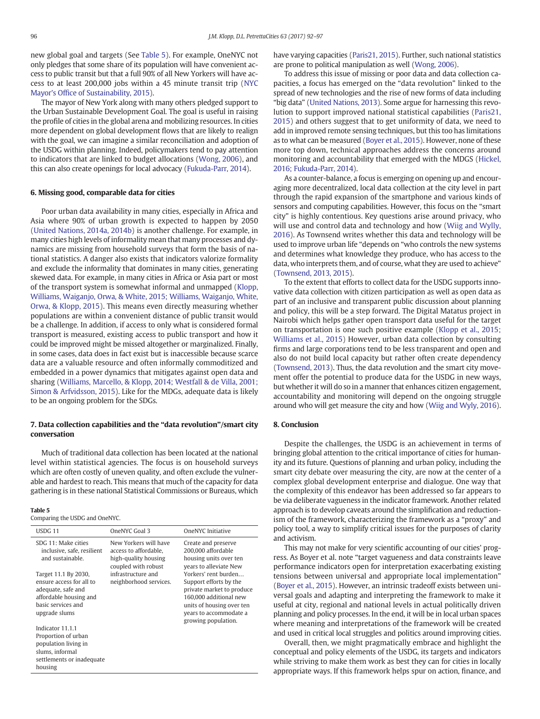new global goal and targets (See [Table 5\)](#page-4-0). For example, OneNYC not only pledges that some share of its population will have convenient access to public transit but that a full 90% of all New Yorkers will have access to at least 200,000 jobs within a 45 minute transit trip [\(NYC](#page-5-0) Mayor's Offi[ce of Sustainability, 2015\)](#page-5-0).

The mayor of New York along with many others pledged support to the Urban Sustainable Development Goal. The goal is useful in raising the profile of cities in the global arena and mobilizing resources. In cities more dependent on global development flows that are likely to realign with the goal, we can imagine a similar reconciliation and adoption of the USDG within planning. Indeed, policymakers tend to pay attention to indicators that are linked to budget allocations [\(Wong, 2006\)](#page-5-0), and this can also create openings for local advocacy [\(Fukuda-Parr, 2014\)](#page-5-0).

# 6. Missing good, comparable data for cities

Poor urban data availability in many cities, especially in Africa and Asia where 90% of urban growth is expected to happen by 2050 [\(United Nations, 2014a, 2014b](#page-5-0)) is another challenge. For example, in many cities high levels of informality mean that many processes and dynamics are missing from household surveys that form the basis of national statistics. A danger also exists that indicators valorize formality and exclude the informality that dominates in many cities, generating skewed data. For example, in many cities in Africa or Asia part or most of the transport system is somewhat informal and unmapped ([Klopp,](#page-5-0) [Williams, Waiganjo, Orwa, & White, 2015; Williams, Waiganjo, White,](#page-5-0) [Orwa, & Klopp, 2015](#page-5-0)). This means even directly measuring whether populations are within a convenient distance of public transit would be a challenge. In addition, if access to only what is considered formal transport is measured, existing access to public transport and how it could be improved might be missed altogether or marginalized. Finally, in some cases, data does in fact exist but is inaccessible because scarce data are a valuable resource and often informally commoditized and embedded in a power dynamics that mitigates against open data and sharing [\(Williams, Marcello, & Klopp, 2014; Westfall & de Villa, 2001;](#page-5-0) [Simon & Arfvidsson, 2015](#page-5-0)). Like for the MDGs, adequate data is likely to be an ongoing problem for the SDGs.

# 7. Data collection capabilities and the "data revolution"/smart city conversation

Much of traditional data collection has been located at the national level within statistical agencies. The focus is on household surveys which are often costly of uneven quality, and often exclude the vulnerable and hardest to reach. This means that much of the capacity for data gathering is in these national Statistical Commissions or Bureaus, which

#### Table 5

Comparing the USDG and OneNYC.

<span id="page-4-0"></span>

| USDG 11                                                                                                                                 | OneNYC Goal 3                                                                                 | OneNYC Initiative                                                                                                                                                                   |
|-----------------------------------------------------------------------------------------------------------------------------------------|-----------------------------------------------------------------------------------------------|-------------------------------------------------------------------------------------------------------------------------------------------------------------------------------------|
| SDG 11: Make cities<br>inclusive, safe, resilient<br>and sustainable.                                                                   | New Yorkers will have<br>access to affordable.<br>high-quality housing<br>coupled with robust | Create and preserve<br>200,000 affordable<br>housing units over ten<br>years to alleviate New                                                                                       |
| Target 11.1 By 2030,<br>ensure access for all to<br>adequate, safe and<br>affordable housing and<br>basic services and<br>upgrade slums | infrastructure and<br>neighborhood services.                                                  | Yorkers' rent burden<br>Support efforts by the<br>private market to produce<br>160,000 additional new<br>units of housing over ten<br>years to accommodate a<br>growing population. |
| Indicator 11.1.1<br>Proportion of urban<br>population living in<br>slums, informal<br>settlements or inadequate<br>housing              |                                                                                               |                                                                                                                                                                                     |

have varying capacities ([Paris21, 2015](#page-5-0)). Further, such national statistics are prone to political manipulation as well ([Wong, 2006\)](#page-5-0).

To address this issue of missing or poor data and data collection capacities, a focus has emerged on the "data revolution" linked to the spread of new technologies and the rise of new forms of data including "big data" ([United Nations, 2013](#page-5-0)). Some argue for harnessing this revolution to support improved national statistical capabilities ([Paris21,](#page-5-0) [2015](#page-5-0)) and others suggest that to get uniformity of data, we need to add in improved remote sensing techniques, but this too has limitations as to what can be measured ([Boyer et al., 2015](#page-5-0)). However, none of these more top down, technical approaches address the concerns around monitoring and accountability that emerged with the MDGS [\(Hickel,](#page-5-0) [2016; Fukuda-Parr, 2014\)](#page-5-0).

As a counter-balance, a focus is emerging on opening up and encouraging more decentralized, local data collection at the city level in part through the rapid expansion of the smartphone and various kinds of sensors and computing capabilities. However, this focus on the "smart city" is highly contentious. Key questions arise around privacy, who will use and control data and technology and how [\(Wiig and Wylly,](#page-5-0) [2016\)](#page-5-0). As Townsend writes whether this data and technology will be used to improve urban life "depends on "who controls the new systems and determines what knowledge they produce, who has access to the data, who interprets them, and of course, what they are used to achieve" [\(Townsend, 2013, 2015](#page-5-0)).

To the extent that efforts to collect data for the USDG supports innovative data collection with citizen participation as well as open data as part of an inclusive and transparent public discussion about planning and policy, this will be a step forward. The Digital Matatus project in Nairobi which helps gather open transport data useful for the target on transportation is one such positive example [\(Klopp et al., 2015;](#page-5-0) [Williams et al., 2015](#page-5-0)) However, urban data collection by consulting firms and large corporations tend to be less transparent and open and also do not build local capacity but rather often create dependency [\(Townsend, 2013\)](#page-5-0). Thus, the data revolution and the smart city movement offer the potential to produce data for the USDG in new ways, but whether it will do so in a manner that enhances citizen engagement, accountability and monitoring will depend on the ongoing struggle around who will get measure the city and how [\(Wiig and Wyly, 2016\)](#page-5-0).

# 8. Conclusion

Despite the challenges, the USDG is an achievement in terms of bringing global attention to the critical importance of cities for humanity and its future. Questions of planning and urban policy, including the smart city debate over measuring the city, are now at the center of a complex global development enterprise and dialogue. One way that the complexity of this endeavor has been addressed so far appears to be via deliberate vagueness in the indicator framework. Another related approach is to develop caveats around the simplification and reductionism of the framework, characterizing the framework as a "proxy" and policy tool, a way to simplify critical issues for the purposes of clarity and activism.

This may not make for very scientific accounting of our cities' progress. As Boyer et al. note "target vagueness and data constraints leave performance indicators open for interpretation exacerbating existing tensions between universal and appropriate local implementation" [\(Boyer et al., 2015\)](#page-5-0). However, an intrinsic tradeoff exists between universal goals and adapting and interpreting the framework to make it useful at city, regional and national levels in actual politically driven planning and policy processes. In the end, it will be in local urban spaces where meaning and interpretations of the framework will be created and used in critical local struggles and politics around improving cities.

Overall, then, we might pragmatically embrace and highlight the conceptual and policy elements of the USDG, its targets and indicators while striving to make them work as best they can for cities in locally appropriate ways. If this framework helps spur on action, finance, and